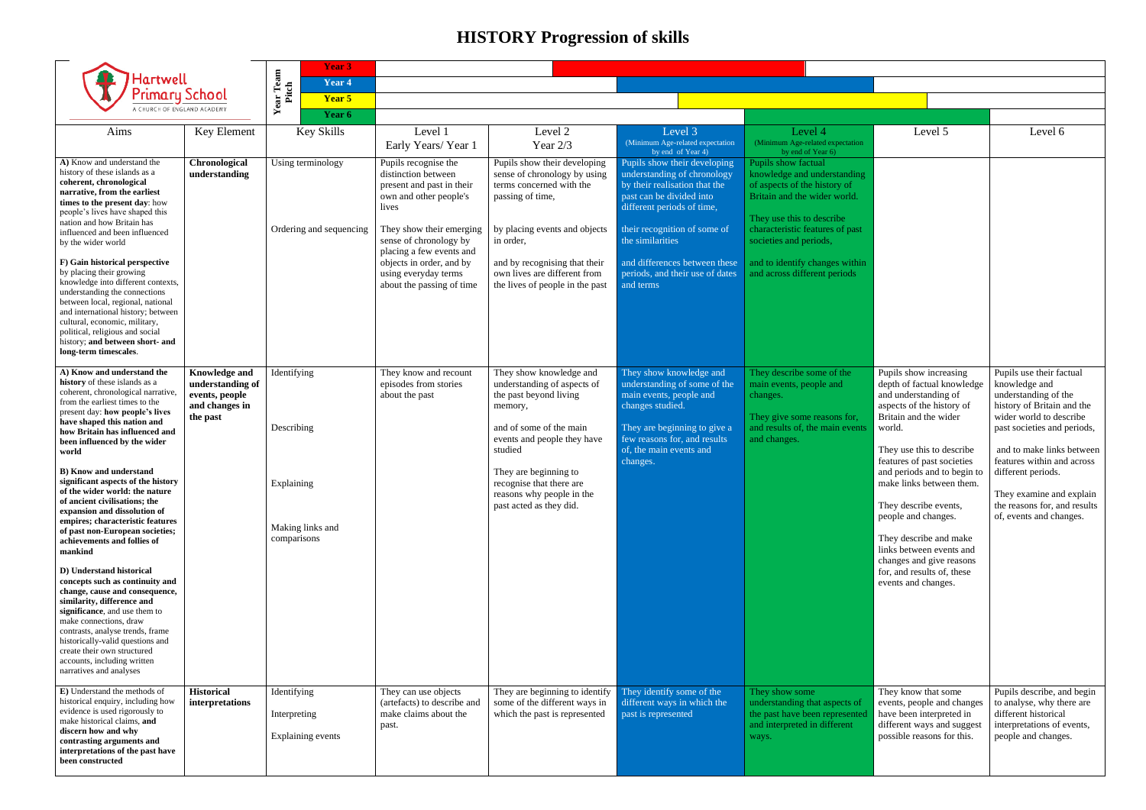## **HISTORY Progression of skills**

| <b>Hartwell</b><br><b>Primary School</b><br>A CHURCH OF ENGLAND ACADEMY                                                                                                                                                                                                                                                                                 |                                                                                          | <b>Year 3</b><br>Year <sub>4</sub>               |                                                                                                             |                                                                                                              |                                                                                                                                                        |                                                                                                                                                 |
|---------------------------------------------------------------------------------------------------------------------------------------------------------------------------------------------------------------------------------------------------------------------------------------------------------------------------------------------------------|------------------------------------------------------------------------------------------|--------------------------------------------------|-------------------------------------------------------------------------------------------------------------|--------------------------------------------------------------------------------------------------------------|--------------------------------------------------------------------------------------------------------------------------------------------------------|-------------------------------------------------------------------------------------------------------------------------------------------------|
|                                                                                                                                                                                                                                                                                                                                                         |                                                                                          | <b>Year Team</b><br>Pitch<br>Year 5              |                                                                                                             |                                                                                                              |                                                                                                                                                        |                                                                                                                                                 |
|                                                                                                                                                                                                                                                                                                                                                         |                                                                                          | Year 6                                           |                                                                                                             |                                                                                                              |                                                                                                                                                        |                                                                                                                                                 |
| Aims                                                                                                                                                                                                                                                                                                                                                    | Key Element                                                                              | <b>Key Skills</b>                                | Level 1<br>Early Years/Year 1                                                                               | Level 2<br>Year 2/3                                                                                          | Level 3<br>(Minimum Age-related expectation<br>by end of Year 4)                                                                                       | Level 4<br>(Minimum Age-related expectation<br>by end of Year 6)                                                                                |
| A) Know and understand the<br>history of these islands as a<br>coherent, chronological<br>narrative, from the earliest<br>times to the present day: how<br>people's lives have shaped this<br>nation and how Britain has<br>influenced and been influenced<br>by the wider world                                                                        | Chronological<br>understanding                                                           | Using terminology                                | Pupils recognise the<br>distinction between<br>present and past in their<br>own and other people's<br>lives | Pupils show their developing<br>sense of chronology by using<br>terms concerned with the<br>passing of time, | Pupils show their developing<br>understanding of chronology<br>by their realisation that the<br>past can be divided into<br>different periods of time, | Pupils show factual<br>knowledge and understanding<br>of aspects of the history of<br>Britain and the wider world.<br>They use this to describe |
|                                                                                                                                                                                                                                                                                                                                                         |                                                                                          | Ordering and sequencing                          | They show their emerging<br>sense of chronology by<br>placing a few events and                              | by placing events and objects<br>in order,                                                                   | their recognition of some of<br>the similarities                                                                                                       | characteristic features of past<br>societies and periods,                                                                                       |
| F) Gain historical perspective<br>by placing their growing<br>knowledge into different contexts,<br>understanding the connections<br>between local, regional, national<br>and international history; between<br>cultural, economic, military,<br>political, religious and social<br>history; and between short- and<br>long-term timescales.            |                                                                                          |                                                  | objects in order, and by<br>using everyday terms<br>about the passing of time                               | and by recognising that their<br>own lives are different from<br>the lives of people in the past             | and differences between these<br>periods, and their use of dates<br>and terms                                                                          | and to identify changes within<br>and across different periods                                                                                  |
| A) Know and understand the<br>history of these islands as a<br>coherent, chronological narrative,<br>from the earliest times to the<br>present day: how people's lives                                                                                                                                                                                  | <b>Knowledge and</b><br>understanding of<br>events, people<br>and changes in<br>the past | Identifying                                      | They know and recount<br>episodes from stories<br>about the past                                            | They show knowledge and<br>understanding of aspects of<br>the past beyond living<br>memory,                  | They show knowledge and<br>understanding of some of the<br>main events, people and<br>changes studied.                                                 | They describe some of the<br>main events, people and<br>changes.<br>They give some reasons for,                                                 |
| have shaped this nation and<br>how Britain has influenced and<br>been influenced by the wider<br>world                                                                                                                                                                                                                                                  |                                                                                          | Describing                                       |                                                                                                             | and of some of the main<br>events and people they have<br>studied                                            | They are beginning to give a<br>few reasons for, and results<br>of, the main events and<br>changes.                                                    | and results of, the main events<br>and changes.                                                                                                 |
| <b>B)</b> Know and understand<br>significant aspects of the history<br>of the wider world: the nature<br>of ancient civilisations; the<br>expansion and dissolution of<br>empires; characteristic features                                                                                                                                              |                                                                                          | Explaining<br>Making links and                   |                                                                                                             | They are beginning to<br>recognise that there are<br>reasons why people in the<br>past acted as they did.    |                                                                                                                                                        |                                                                                                                                                 |
| of past non-European societies;<br>achievements and follies of<br>mankind                                                                                                                                                                                                                                                                               |                                                                                          | comparisons                                      |                                                                                                             |                                                                                                              |                                                                                                                                                        |                                                                                                                                                 |
| D) Understand historical<br>concepts such as continuity and<br>change, cause and consequence,<br>similarity, difference and<br>significance, and use them to<br>make connections, draw<br>contrasts, analyse trends, frame<br>historically-valid questions and<br>create their own structured<br>accounts, including written<br>narratives and analyses |                                                                                          |                                                  |                                                                                                             |                                                                                                              |                                                                                                                                                        |                                                                                                                                                 |
| E) Understand the methods of<br>historical enquiry, including how<br>evidence is used rigorously to<br>make historical claims, and<br>discern how and why<br>contrasting arguments and<br>interpretations of the past have<br>been constructed                                                                                                          | <b>Historical</b><br>interpretations                                                     | Identifying<br>Interpreting<br>Explaining events | They can use objects<br>(artefacts) to describe and<br>make claims about the<br>past.                       | They are beginning to identify<br>some of the different ways in<br>which the past is represented             | They identify some of the<br>different ways in which the<br>past is represented                                                                        | They show some<br>understanding that aspects of<br>the past have been represented<br>and interpreted in different<br>ways.                      |

| Level 5                                                                                                                                                                                                                                                                                                                                                                                                                                                                          | Level 6                                                                                                                                                                                                                                                                                                                                                         |
|----------------------------------------------------------------------------------------------------------------------------------------------------------------------------------------------------------------------------------------------------------------------------------------------------------------------------------------------------------------------------------------------------------------------------------------------------------------------------------|-----------------------------------------------------------------------------------------------------------------------------------------------------------------------------------------------------------------------------------------------------------------------------------------------------------------------------------------------------------------|
| Pupils show increasing<br>depth of factual knowledge<br>and understanding of<br>aspects of the history of<br>Britain and the wider<br>world.<br>They use this to describe<br>features of past societies<br>and periods and to begin to<br>make links between them.<br>They describe events,<br>people and changes.<br>They describe and make<br>links between events and<br>changes and give reasons<br>for, and results of, these<br>events and changes.<br>They know that some | Pupils use their factual<br>knowledge and<br>understanding of the<br>history of Britain and the<br>wider world to describe<br>past societies and periods,<br>and to make links between<br>features within and across<br>different periods.<br>They examine and explain<br>the reasons for, and results<br>of, events and changes.<br>Pupils describe, and begin |
| events, people and changes<br>have been interpreted in<br>different ways and suggest<br>possible reasons for this.                                                                                                                                                                                                                                                                                                                                                               | to analyse, why there are<br>different historical<br>interpretations of events,<br>people and changes.                                                                                                                                                                                                                                                          |